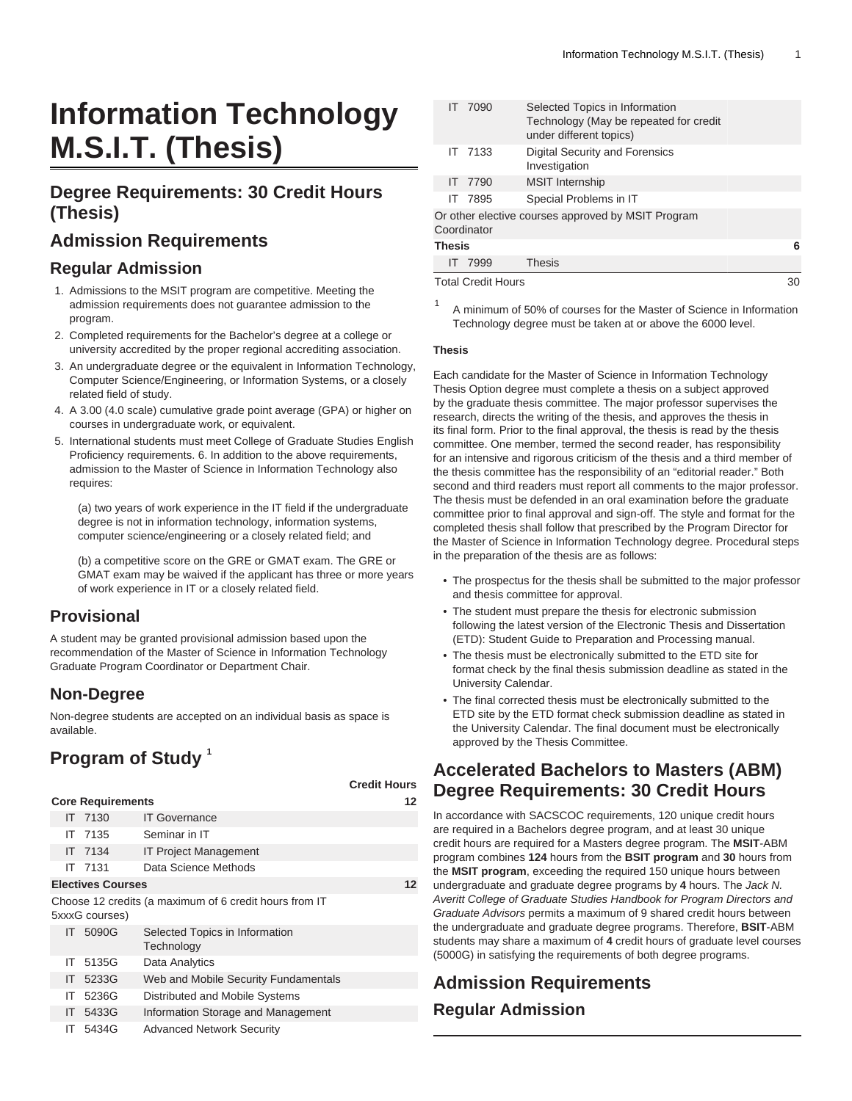# **Information Technology M.S.I.T. (Thesis)**

# **Degree Requirements: 30 Credit Hours (Thesis)**

# **Admission Requirements**

### **Regular Admission**

- 1. Admissions to the MSIT program are competitive. Meeting the admission requirements does not guarantee admission to the program.
- 2. Completed requirements for the Bachelor's degree at a college or university accredited by the proper regional accrediting association.
- 3. An undergraduate degree or the equivalent in Information Technology, Computer Science/Engineering, or Information Systems, or a closely related field of study.
- 4. A 3.00 (4.0 scale) cumulative grade point average (GPA) or higher on courses in undergraduate work, or equivalent.
- 5. International students must meet College of Graduate Studies English Proficiency requirements. 6. In addition to the above requirements, admission to the Master of Science in Information Technology also requires:

(a) two years of work experience in the IT field if the undergraduate degree is not in information technology, information systems, computer science/engineering or a closely related field; and

(b) a competitive score on the GRE or GMAT exam. The GRE or GMAT exam may be waived if the applicant has three or more years of work experience in IT or a closely related field.

# **Provisional**

A student may be granted provisional admission based upon the recommendation of the Master of Science in Information Technology Graduate Program Coordinator or Department Chair.

# **Non-Degree**

Non-degree students are accepted on an individual basis as space is available.

# **Program of Study <sup>1</sup>**

|     |                          |                                                        | <b>Credit Hours</b> |
|-----|--------------------------|--------------------------------------------------------|---------------------|
|     | <b>Core Requirements</b> | 12                                                     |                     |
|     | IT 7130                  | <b>IT Governance</b>                                   |                     |
| IΤ  | 7135                     | Seminar in IT                                          |                     |
|     | IT 7134                  | <b>IT Project Management</b>                           |                     |
|     | IT 7131                  | Data Science Methods                                   |                     |
|     | <b>Electives Courses</b> |                                                        | 12                  |
|     | 5xxxG courses)           | Choose 12 credits (a maximum of 6 credit hours from IT |                     |
|     | IT 5090G                 | Selected Topics in Information<br>Technology           |                     |
| IT. | 5135G                    | Data Analytics                                         |                     |
| ΙT  | 5233G                    | Web and Mobile Security Fundamentals                   |                     |
| ΙT  | 5236G                    | Distributed and Mobile Systems                         |                     |
| ΙT  | 5433G                    | Information Storage and Management                     |                     |
| ΙT  | 5434G                    | <b>Advanced Network Security</b>                       |                     |

|                                                                   |  | Selected Topics in Information                                    |  |  |  |  |  |
|-------------------------------------------------------------------|--|-------------------------------------------------------------------|--|--|--|--|--|
|                                                                   |  | Technology (May be repeated for credit<br>under different topics) |  |  |  |  |  |
|                                                                   |  | <b>Digital Security and Forensics</b><br>Investigation            |  |  |  |  |  |
|                                                                   |  | <b>MSIT</b> Internship                                            |  |  |  |  |  |
|                                                                   |  | Special Problems in IT                                            |  |  |  |  |  |
| Or other elective courses approved by MSIT Program<br>Coordinator |  |                                                                   |  |  |  |  |  |
| <b>Thesis</b>                                                     |  |                                                                   |  |  |  |  |  |
|                                                                   |  | <b>Thesis</b>                                                     |  |  |  |  |  |
|                                                                   |  | IT 7090<br>IT 7133<br>IT 7790<br>IT 7895<br>7999                  |  |  |  |  |  |

Total Credit Hours 30

A minimum of 50% of courses for the Master of Science in Information Technology degree must be taken at or above the 6000 level.

#### **Thesis**

1

Each candidate for the Master of Science in Information Technology Thesis Option degree must complete a thesis on a subject approved by the graduate thesis committee. The major professor supervises the research, directs the writing of the thesis, and approves the thesis in its final form. Prior to the final approval, the thesis is read by the thesis committee. One member, termed the second reader, has responsibility for an intensive and rigorous criticism of the thesis and a third member of the thesis committee has the responsibility of an "editorial reader." Both second and third readers must report all comments to the major professor. The thesis must be defended in an oral examination before the graduate committee prior to final approval and sign-off. The style and format for the completed thesis shall follow that prescribed by the Program Director for the Master of Science in Information Technology degree. Procedural steps in the preparation of the thesis are as follows:

- The prospectus for the thesis shall be submitted to the major professor and thesis committee for approval.
- The student must prepare the thesis for electronic submission following the latest version of the Electronic Thesis and Dissertation (ETD): Student Guide to Preparation and Processing manual.
- The thesis must be electronically submitted to the ETD site for format check by the final thesis submission deadline as stated in the University Calendar.
- The final corrected thesis must be electronically submitted to the ETD site by the ETD format check submission deadline as stated in the University Calendar. The final document must be electronically approved by the Thesis Committee.

# **Accelerated Bachelors to Masters (ABM) Degree Requirements: 30 Credit Hours**

In accordance with SACSCOC requirements, 120 unique credit hours are required in a Bachelors degree program, and at least 30 unique credit hours are required for a Masters degree program. The **MSIT**-ABM program combines **124** hours from the **BSIT program** and **30** hours from the **MSIT program**, exceeding the required 150 unique hours between undergraduate and graduate degree programs by **4** hours. The Jack N. Averitt College of Graduate Studies Handbook for Program Directors and Graduate Advisors permits a maximum of 9 shared credit hours between the undergraduate and graduate degree programs. Therefore, **BSIT**-ABM students may share a maximum of **4** credit hours of graduate level courses (5000G) in satisfying the requirements of both degree programs.

# **Admission Requirements**

### **Regular Admission**